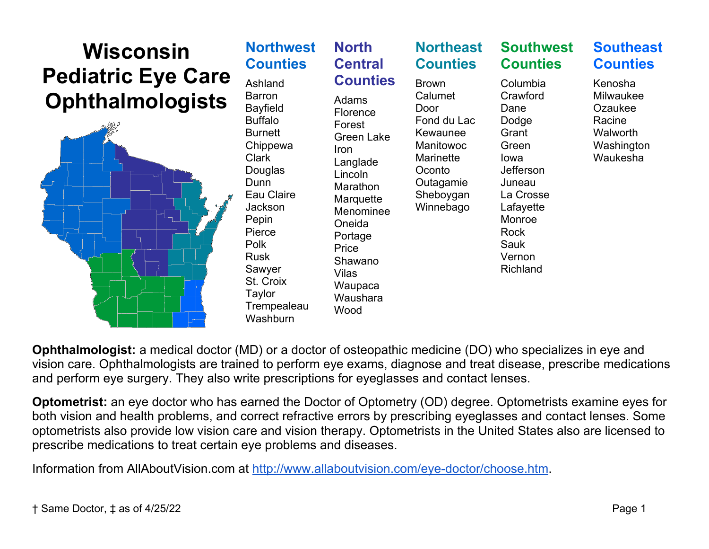

**Ophthalmologist:** a medical doctor (MD) or a doctor of osteopathic medicine (DO) who specializes in eye and vision care. Ophthalmologists are trained to perform eye exams, diagnose and treat disease, prescribe medications and perform eye surgery. They also write prescriptions for eyeglasses and contact lenses.

**Optometrist:** an eye doctor who has earned the Doctor of Optometry (OD) degree. Optometrists examine eyes for both vision and health problems, and correct refractive errors by prescribing eyeglasses and contact lenses. Some optometrists also provide low vision care and vision therapy. Optometrists in the United States also are licensed to prescribe medications to treat certain eye problems and diseases.

Information from AllAboutVision.com at [http://www.allaboutvision.com/eye-doctor/choose.htm.](http://www.allaboutvision.com/eye-doctor/choose.htm)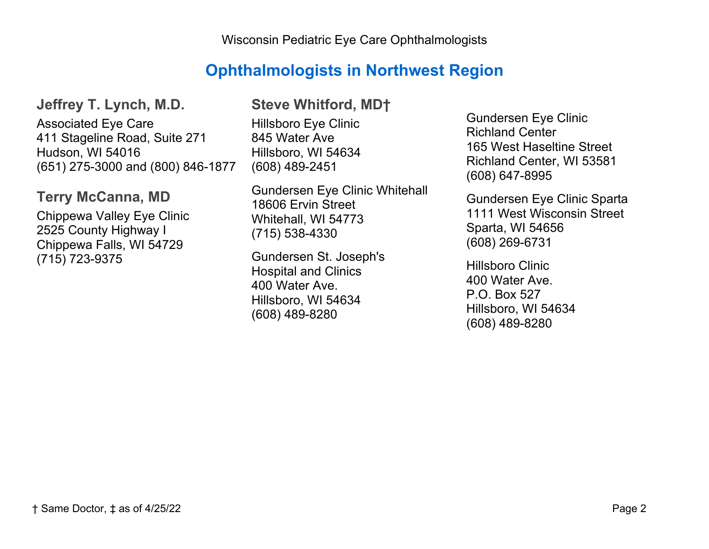## **Ophthalmologists in Northwest Region**

**Jeffrey T. Lynch, M.D.** Associated Eye Care 411 Stageline Road, Suite 271 Hudson, WI 54016 (651) 275-3000 and (800) 846-1877

#### **Terry McCanna, MD**

Chippewa Valley Eye Clinic 2525 County Highway I Chippewa Falls, WI 54729 (715) 723-9375

### **Steve Whitford, MD†**

Hillsboro Eye Clinic 845 Water Ave Hillsboro, WI 54634 (608) 489-2451

Gundersen Eye Clinic Whitehall 18606 Ervin Street Whitehall, WI 54773 (715) 538-4330

Gundersen St. Joseph's Hospital and Clinics 400 Water Ave. Hillsboro, WI 54634 (608) 489-8280

Gundersen Eye Clinic Richland Center 165 West Haseltine Street Richland Center, WI 53581 (608) 647-8995

Gundersen Eye Clinic Sparta 1111 West Wisconsin Street Sparta, WI 54656 (608) 269-6731

Hillsboro Clinic 400 Water Ave. P.O. Box 527 Hillsboro, WI 54634 (608) 489-8280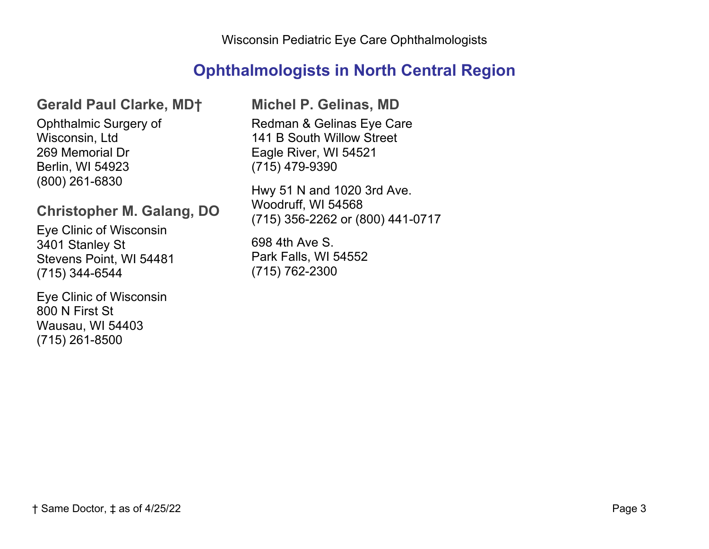# **Ophthalmologists in North Central Region**

### **Gerald Paul Clarke, MD†**

Ophthalmic Surgery of Wisconsin, Ltd 269 Memorial Dr Berlin, WI 54923 (800) 261-6830

### **Christopher M. Galang, DO**

Eye Clinic of Wisconsin 3401 Stanley St Stevens Point, WI 54481 (715) 344-6544

Eye Clinic of Wisconsin 800 N First St Wausau, WI 54403 (715) 261-8500

**Michel P. Gelinas, MD**

Redman & Gelinas Eye Care 141 B South Willow Street Eagle River, WI 54521 (715) 479-9390

Hwy 51 N and 1020 3rd Ave. Woodruff, WI 54568 (715) 356-2262 or (800) 441-0717

698 4th Ave S. Park Falls, WI 54552 (715) 762-2300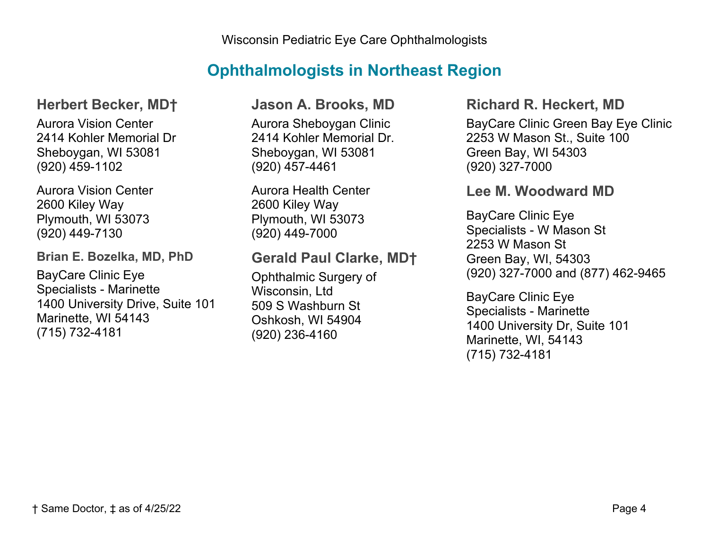# **Ophthalmologists in Northeast Region**

### **Herbert Becker, MD†**

Aurora Vision Center 2414 Kohler Memorial Dr Sheboygan, WI 53081 (920) 459-1102

Aurora Vision Center 2600 Kiley Way Plymouth, WI 53073 (920) 449-7130

**Brian E. Bozelka, MD, PhD**

BayCare Clinic Eye Specialists - Marinette 1400 University Drive, Suite 101 Marinette, WI 54143 (715) 732-4181

#### **Jason A. Brooks, MD**

Aurora Sheboygan Clinic 2414 Kohler Memorial Dr. Sheboygan, WI 53081 (920) 457-4461

Aurora Health Center 2600 Kiley Way Plymouth, WI 53073 (920) 449-7000

### **Gerald Paul Clarke, MD†**

Ophthalmic Surgery of Wisconsin, Ltd 509 S Washburn St Oshkosh, WI 54904 (920) 236-4160

#### **Richard R. Heckert, MD**

BayCare Clinic Green Bay Eye Clinic 2253 W Mason St., Suite 100 Green Bay, WI 54303 (920) 327-7000

#### **Lee M. Woodward MD**

BayCare Clinic Eye Specialists - W Mason St 2253 W Mason St Green Bay, WI, 54303 (920) 327-7000 and (877) 462-9465

BayCare Clinic Eye Specialists - Marinette 1400 University Dr, Suite 101 Marinette, WI, 54143 (715) 732-4181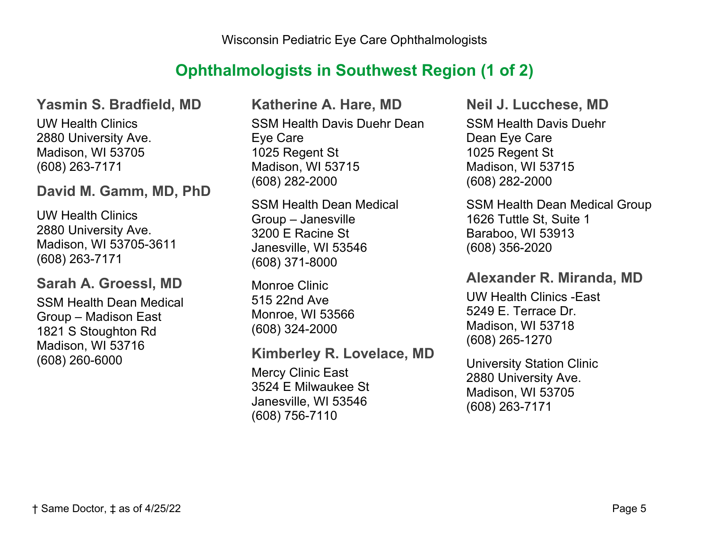## **Ophthalmologists in Southwest Region (1 of 2)**

#### **Yasmin S. Bradfield, MD**

UW Health Clinics 2880 University Ave. Madison, WI 53705 (608) 263-7171

#### **David M. Gamm, MD, PhD**

UW Health Clinics 2880 University Ave. Madison, WI 53705-3611 (608) 263-7171

#### **Sarah A. Groessl, MD**

SSM Health Dean Medical Group – Madison East 1821 S Stoughton Rd Madison, WI 53716 (608) 260-6000

**Katherine A. Hare, MD** SSM Health Davis Duehr Dean Eye Care 1025 Regent St Madison, WI 53715 (608) 282-2000

SSM Health Dean Medical Group – Janesville 3200 E Racine St Janesville, WI 53546 (608) 371-8000

Monroe Clinic 515 22nd Ave Monroe, WI 53566 (608) 324-2000

#### **Kimberley R. Lovelace, MD**

Mercy Clinic East 3524 E Milwaukee St Janesville, WI 53546 (608) 756-7110

**Neil J. Lucchese, MD**  SSM Health Davis Duehr Dean Eye Care 1025 Regent St Madison, WI 53715 (608) 282-2000

SSM Health Dean Medical Group 1626 Tuttle St, Suite 1 Baraboo, WI 53913 (608) 356-2020

#### **Alexander R. Miranda, MD**

UW Health Clinics -East 5249 E. Terrace Dr. Madison, WI 53718 (608) 265-1270

University Station Clinic 2880 University Ave. Madison, WI 53705 (608) 263-7171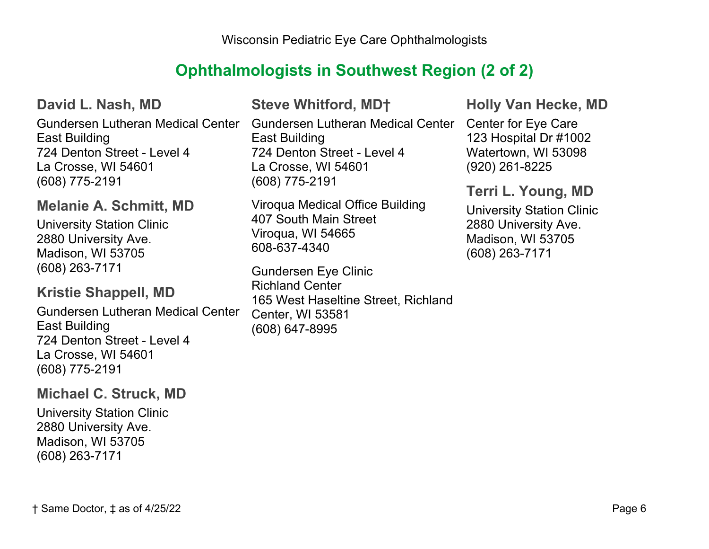## **Ophthalmologists in Southwest Region (2 of 2)**

**David L. Nash, MD**

East Building 724 Denton Street - Level 4 La Crosse, WI 54601 (608) 775-2191

### **Melanie A. Schmitt, MD**

University Station Clinic 2880 University Ave. Madison, WI 53705 (608) 263-7171

#### **Kristie Shappell, MD**

Gundersen Lutheran Medical Center East Building 724 Denton Street - Level 4 La Crosse, WI 54601 (608) 775-2191

#### **Michael C. Struck, MD**

University Station Clinic 2880 University Ave. Madison, WI 53705 (608) 263-7171

## **Steve Whitford, MD†**

Gundersen Lutheran Medical Center Gundersen Lutheran Medical Center Center for Eye Care East Building 724 Denton Street - Level 4 La Crosse, WI 54601 (608) 775-2191

> Viroqua Medical Office Building 407 South Main Street Viroqua, WI 54665 608-637-4340

Gundersen Eye Clinic Richland Center 165 West Haseltine Street, Richland Center, WI 53581 (608) 647-8995

**Holly Van Hecke, MD**

123 Hospital Dr #1002 Watertown, WI 53098 (920) 261-8225

#### **Terri L. Young, MD**

University Station Clinic 2880 University Ave. Madison, WI 53705 (608) 263-7171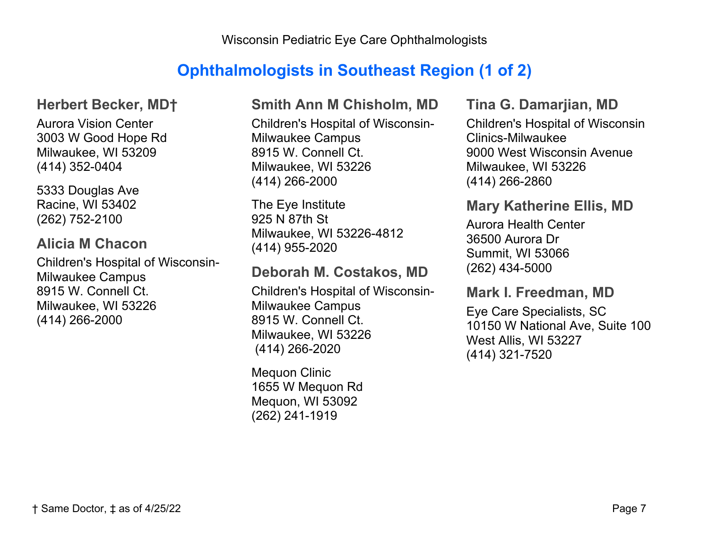## **Ophthalmologists in Southeast Region (1 of 2)**

#### **Herbert Becker, MD†**

Aurora Vision Center 3003 W Good Hope Rd Milwaukee, WI 53209 (414) 352-0404

5333 Douglas Ave Racine, WI 53402 (262) 752-2100

### **Alicia M Chacon**

Children's Hospital of Wisconsin-Milwaukee Campus 8915 W. Connell Ct. Milwaukee, WI 53226 (414) 266-2000

### **Smith Ann M Chisholm, MD**

Children's Hospital of Wisconsin-Milwaukee Campus 8915 W. Connell Ct. Milwaukee, WI 53226 (414) 266-2000

The Eye Institute 925 N 87th St Milwaukee, WI 53226-4812 (414) 955-2020

## **Deborah M. Costakos, MD**

Children's Hospital of Wisconsin-Milwaukee Campus 8915 W. Connell Ct. Milwaukee, WI 53226 (414) 266-2020

Mequon Clinic 1655 W Mequon Rd Mequon, WI 53092 (262) 241-1919

#### **Tina G. Damarjian, MD**

Children's Hospital of Wisconsin Clinics-Milwaukee 9000 West Wisconsin Avenue Milwaukee, WI 53226 (414) 266-2860

### **Mary Katherine Ellis, MD**

Aurora Health Center 36500 Aurora Dr Summit, WI 53066 (262) 434-5000

#### **Mark I. Freedman, MD**

Eye Care Specialists, SC 10150 W National Ave, Suite 100 West Allis, WI 53227 (414) 321-7520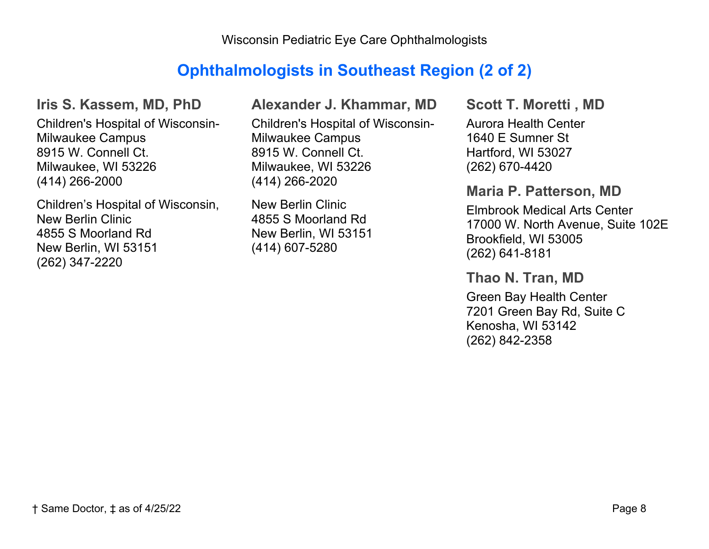Wisconsin Pediatric Eye Care Ophthalmologists

## **Ophthalmologists in Southeast Region (2 of 2)**

#### **Iris S. Kassem, MD, PhD**

Children's Hospital of Wisconsin-Milwaukee Campus 8915 W. Connell Ct. Milwaukee, WI 53226 (414) 266-2000

Children's Hospital of Wisconsin, New Berlin Clinic 4855 S Moorland Rd New Berlin, WI 53151 (262) 347-2220

**Alexander J. Khammar, MD**

Children's Hospital of Wisconsin-Milwaukee Campus 8915 W. Connell Ct. Milwaukee, WI 53226 (414) 266-2020

New Berlin Clinic 4855 S Moorland Rd New Berlin, WI 53151 (414) 607-5280

**Scott T. Moretti , MD** Aurora Health Center 1640 E Sumner St Hartford, WI 53027 (262) 670-4420

#### **Maria P. Patterson, MD**

Elmbrook Medical Arts Center 17000 W. North Avenue, Suite 102E Brookfield, WI 53005 (262) 641-8181

**Thao N. Tran, MD**

Green Bay Health Center 7201 Green Bay Rd, Suite C Kenosha, WI 53142 (262) 842-2358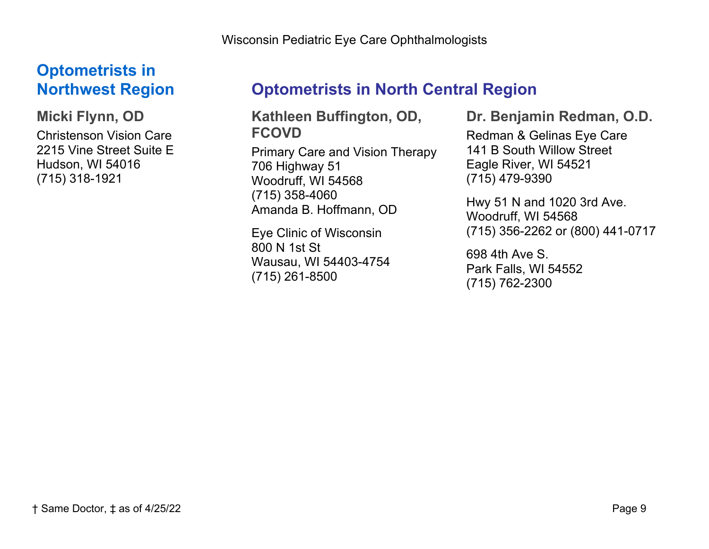Wisconsin Pediatric Eye Care Ophthalmologists

# **Optometrists in Northwest Region**

**Micki Flynn, OD** Christenson Vision Care 2215 Vine Street Suite E Hudson, WI 54016 (715) 318-1921

# **Optometrists in North Central Region**

**Kathleen Buffington, OD, FCOVD**

Primary Care and Vision Therapy 706 Highway 51 Woodruff, WI 54568 (715) 358-4060 Amanda B. Hoffmann, OD

Eye Clinic of Wisconsin 800 N 1st St Wausau, WI 54403-4754 (715) 261-8500

**Dr. Benjamin Redman, O.D.**

Redman & Gelinas Eye Care 141 B South Willow Street Eagle River, WI 54521 (715) 479-9390

Hwy 51 N and 1020 3rd Ave. Woodruff, WI 54568 (715) 356-2262 or (800) 441-0717

698 4th Ave S. Park Falls, WI 54552 (715) 762-2300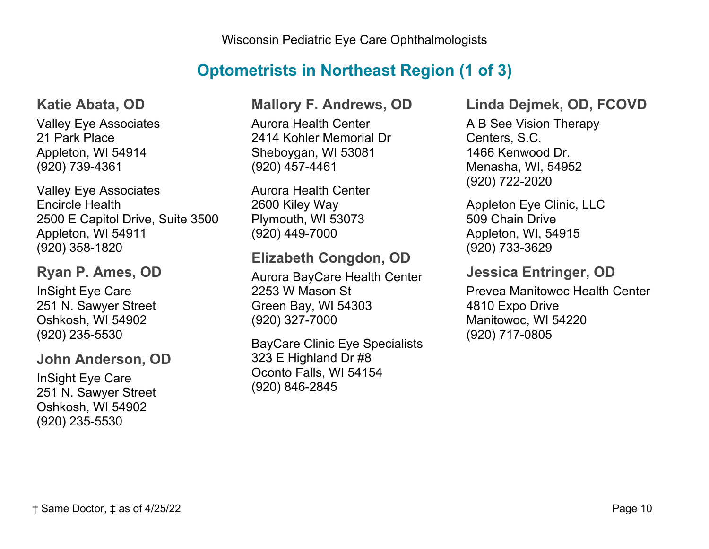## **Optometrists in Northeast Region (1 of 3)**

#### **Katie Abata, OD**

Valley Eye Associates 21 Park Place Appleton, WI 54914 (920) 739-4361

Valley Eye Associates Encircle Health 2500 E Capitol Drive, Suite 3500 Appleton, WI 54911 (920) 358-1820

### **Ryan P. Ames, OD**

InSight Eye Care 251 N. Sawyer Street Oshkosh, WI 54902 (920) 235-5530

### **John Anderson, OD**

InSight Eye Care 251 N. Sawyer Street Oshkosh, WI 54902 (920) 235-5530

### **Mallory F. Andrews, OD**

Aurora Health Center 2414 Kohler Memorial Dr Sheboygan, WI 53081 (920) 457-4461

Aurora Health Center 2600 Kiley Way Plymouth, WI 53073 (920) 449-7000

## **Elizabeth Congdon, OD**

Aurora BayCare Health Center 2253 W Mason St Green Bay, WI 54303 (920) 327-7000

BayCare Clinic Eye Specialists 323 E Highland Dr #8 Oconto Falls, WI 54154 (920) 846-2845

#### **Linda Dejmek, OD, FCOVD**

A B See Vision Therapy Centers, S.C. 1466 Kenwood Dr. Menasha, WI, 54952 (920) 722-2020

Appleton Eye Clinic, LLC 509 Chain Drive Appleton, WI, 54915 (920) 733-3629

## **Jessica Entringer, OD**

Prevea Manitowoc Health Center 4810 Expo Drive Manitowoc, WI 54220 (920) 717-0805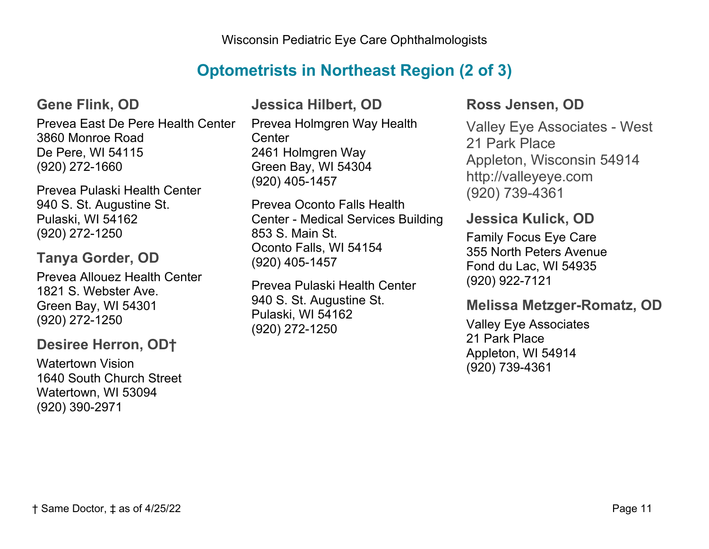## **Optometrists in Northeast Region (2 of 3)**

**Gene Flink, OD**

Prevea East De Pere Health Center 3860 Monroe Road De Pere, WI 54115 (920) 272-1660

Prevea Pulaski Health Center 940 S. St. Augustine St. Pulaski, WI 54162 (920) 272-1250

### **Tanya Gorder, OD**

Prevea Allouez Health Center 1821 S. Webster Ave. Green Bay, WI 54301 (920) 272-1250

### **Desiree Herron, OD†**

Watertown Vision 1640 South Church Street Watertown, WI 53094 (920) 390-2971

## **Jessica Hilbert, OD**

Prevea Holmgren Way Health **Center** 2461 Holmgren Way Green Bay, WI 54304 (920) 405-1457

Prevea Oconto Falls Health Center - Medical Services Building 853 S. Main St. Oconto Falls, WI 54154 (920) 405-1457

Prevea Pulaski Health Center 940 S. St. Augustine St. Pulaski, WI 54162 (920) 272-1250

### **Ross Jensen, OD**

Valley Eye Associates - West 21 Park Place Appleton, Wisconsin 54914 http://valleyeye.com (920) 739-4361

### **Jessica Kulick, OD**

Family Focus Eye Care 355 North Peters Avenue Fond du Lac, WI 54935 (920) 922-7121

### **Melissa Metzger-Romatz, OD**

Valley Eye Associates 21 Park Place Appleton, WI 54914 (920) 739-4361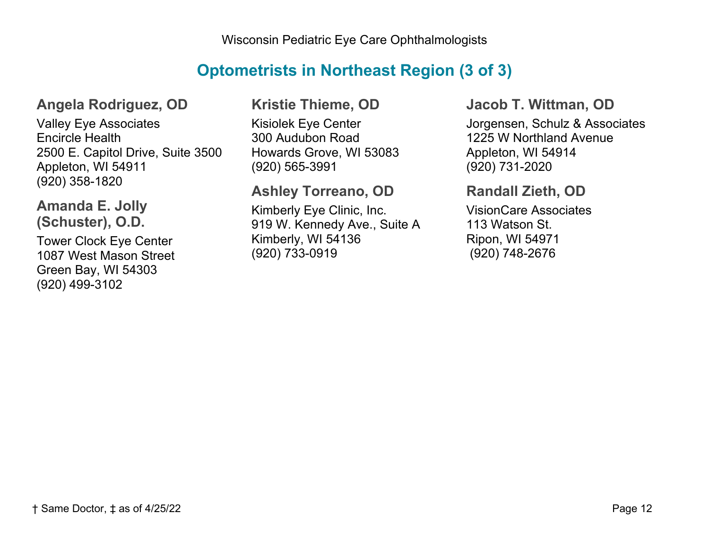## **Optometrists in Northeast Region (3 of 3)**

### **Angela Rodriguez, OD**

Valley Eye Associates Encircle Health 2500 E. Capitol Drive, Suite 3500 Appleton, WI 54911 (920) 358-1820

### **Amanda E. Jolly (Schuster), O.D.**

Tower Clock Eye Center 1087 West Mason Street Green Bay, WI 54303 (920) 499-3102

### **Kristie Thieme, OD**

Kisiolek Eye Center 300 Audubon Road Howards Grove, WI 53083 (920) 565-3991

## **Ashley Torreano, OD**

Kimberly Eye Clinic, Inc. 919 W. Kennedy Ave., Suite A Kimberly, WI 54136 (920) 733-0919

#### **Jacob T. Wittman, OD**

Jorgensen, Schulz & Associates 1225 W Northland Avenue Appleton, WI 54914 (920) 731-2020

### **Randall Zieth, OD**

VisionCare Associates 113 Watson St. Ripon, WI 54971 (920) 748-2676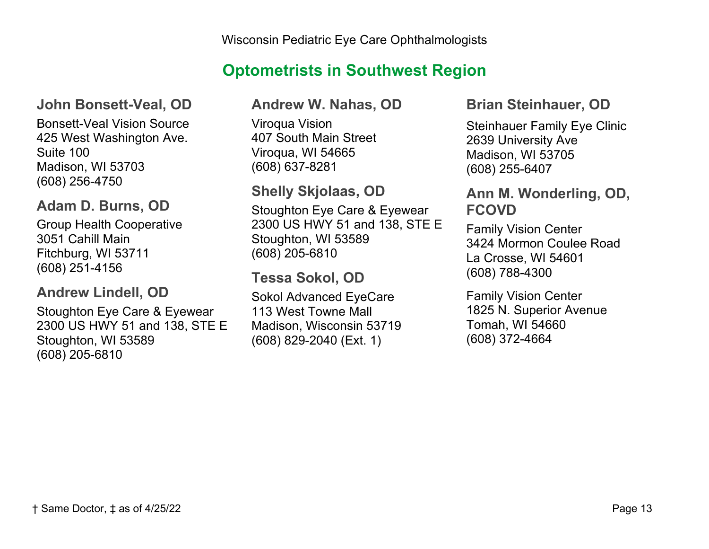# **Optometrists in Southwest Region**

### **John Bonsett-Veal, OD**

Bonsett-Veal Vision Source 425 West Washington Ave. Suite 100 Madison, WI 53703 (608) 256-4750

### **Adam D. Burns, OD**

Group Health Cooperative 3051 Cahill Main Fitchburg, WI 53711 (608) 251-4156

### **Andrew Lindell, OD**

Stoughton Eye Care & Eyewear 2300 US HWY 51 and 138, STE E Stoughton, WI 53589 (608) 205-6810

#### **Andrew W. Nahas, OD**

Viroqua Vision 407 South Main Street Viroqua, WI 54665 (608) 637-8281

### **Shelly Skjolaas, OD**

Stoughton Eye Care & Eyewear 2300 US HWY 51 and 138, STE E Stoughton, WI 53589 (608) 205-6810

## **Tessa Sokol, OD**

Sokol Advanced EyeCare 113 West Towne Mall Madison, Wisconsin 53719 (608) 829-2040 (Ext. 1)

#### **Brian Steinhauer, OD**

Steinhauer Family Eye Clinic 2639 University Ave Madison, WI 53705 (608) 255-6407

### **Ann M. Wonderling, OD, FCOVD**

Family Vision Center 3424 Mormon Coulee Road La Crosse, WI 54601 (608) 788-4300

Family Vision Center 1825 N. Superior Avenue Tomah, WI 54660 (608) 372-4664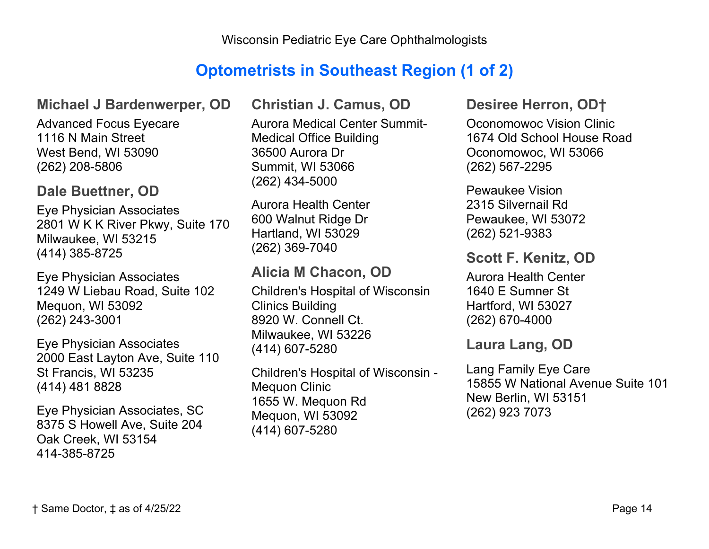## **Optometrists in Southeast Region (1 of 2)**

#### **Michael J Bardenwerper, OD**

Advanced Focus Eyecare 1116 N Main Street West Bend, WI 53090 (262) 208-5806

#### **Dale Buettner, OD**

Eye Physician Associates 2801 W K K River Pkwy, Suite 170 Milwaukee, WI 53215 (414) 385-8725

Eye Physician Associates 1249 W Liebau Road, Suite 102 Mequon, WI 53092 (262) 243-3001

Eye Physician Associates 2000 East Layton Ave, Suite 110 St Francis, WI 53235 (414) 481 8828

Eye Physician Associates, SC 8375 S Howell Ave, Suite 204 Oak Creek, WI 53154 414-385-8725

**Christian J. Camus, OD**

Aurora Medical Center Summit-Medical Office Building 36500 Aurora Dr Summit, WI 53066 (262) 434-5000

Aurora Health Center 600 Walnut Ridge Dr Hartland, WI 53029 (262) 369-7040

### **Alicia M Chacon, OD**

Children's Hospital of Wisconsin Clinics Building 8920 W. Connell Ct. Milwaukee, WI 53226 (414) 607-5280

Children's Hospital of Wisconsin - Mequon Clinic 1655 W. Mequon Rd Mequon, WI 53092 (414) 607-5280

#### **Desiree Herron, OD†**

Oconomowoc Vision Clinic 1674 Old School House Road Oconomowoc, WI 53066 (262) 567-2295

Pewaukee Vision 2315 Silvernail Rd Pewaukee, WI 53072 (262) 521-9383

### **Scott F. Kenitz, OD**

Aurora Health Center 1640 E Sumner St Hartford, WI 53027 (262) 670-4000

### **Laura Lang, OD**

Lang Family Eye Care 15855 W National Avenue Suite 101 New Berlin, WI 53151 (262) 923 7073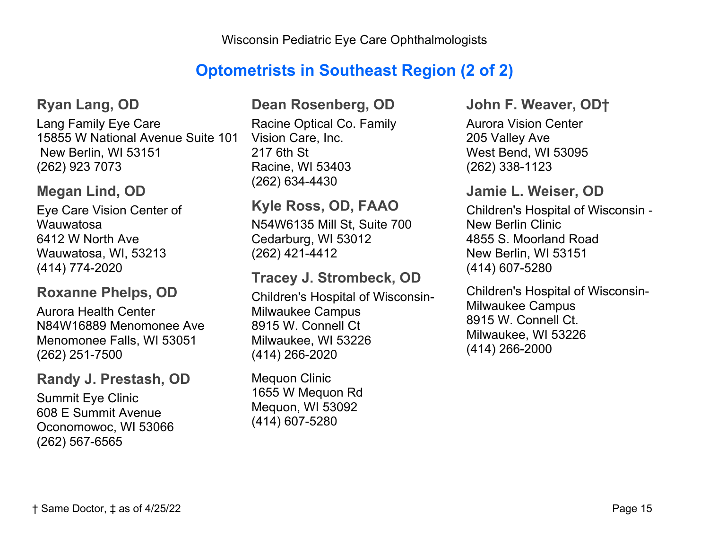## **Optometrists in Southeast Region (2 of 2)**

#### **Ryan Lang, OD**

Lang Family Eye Care 15855 W National Avenue Suite 101 New Berlin, WI 53151 (262) 923 7073

### **Megan Lind, OD**

Eye Care Vision Center of Wauwatosa 6412 W North Ave Wauwatosa, WI, 53213 (414) 774-2020

### **Roxanne Phelps, OD**

Aurora Health Center N84W16889 Menomonee Ave Menomonee Falls, WI 53051 (262) 251-7500

#### **Randy J. Prestash, OD**

Summit Eye Clinic 608 E Summit Avenue Oconomowoc, WI 53066 (262) 567-6565

#### **Dean Rosenberg, OD**

Racine Optical Co. Family Vision Care, Inc. 217 6th St Racine, WI 53403 (262) 634-4430

## **Kyle Ross, OD, FAAO**

N54W6135 Mill St, Suite 700 Cedarburg, WI 53012 (262) 421-4412

### **Tracey J. Strombeck, OD**

Children's Hospital of Wisconsin-Milwaukee Campus 8915 W. Connell Ct Milwaukee, WI 53226 (414) 266-2020

Mequon Clinic 1655 W Mequon Rd Mequon, WI 53092 (414) 607-5280

#### **John F. Weaver, OD†**

Aurora Vision Center 205 Valley Ave West Bend, WI 53095 (262) 338-1123

#### **Jamie L. Weiser, OD**

Children's Hospital of Wisconsin - New Berlin Clinic 4855 S. Moorland Road New Berlin, WI 53151 (414) 607-5280

Children's Hospital of Wisconsin-Milwaukee Campus 8915 W. Connell Ct. Milwaukee, WI 53226 (414) 266-2000